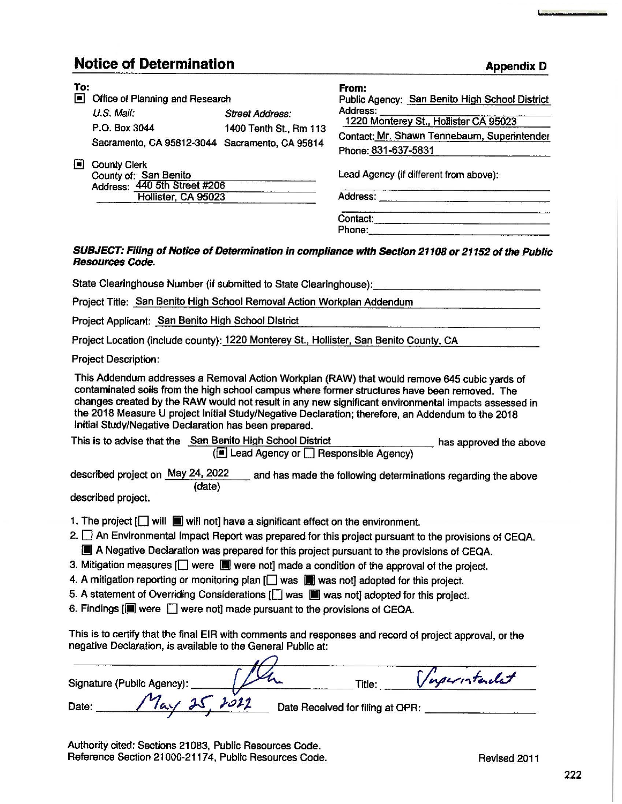## **Notice of Determination**

| To:<br>$\blacksquare$ | Office of Planning and Research                                                                     |                                                  | From:<br>Public Agency: San Benito High School District                                                                 |  |
|-----------------------|-----------------------------------------------------------------------------------------------------|--------------------------------------------------|-------------------------------------------------------------------------------------------------------------------------|--|
|                       | $U.S.$ Mail:<br>P.O. Box 3044<br>Sacramento, CA 95812-3044 Sacramento, CA 95814                     | <b>Street Address:</b><br>1400 Tenth St., Rm 113 | Address:<br>1220 Monterey St., Hollister CA 95023<br>Contact: Mr. Shawn Tennebaum, Superintender<br>Phone: 831-637-5831 |  |
| l≡l                   | <b>County Clerk</b><br>County of: San Benito<br>Address: 440 5th Street #206<br>Hollister, CA 95023 |                                                  | Lead Agency (if different from above):<br>Address:                                                                      |  |
|                       |                                                                                                     |                                                  | Contact:<br>Phone:                                                                                                      |  |

## **SUBJECT: Filing of Notice of Determination in compliance with Section 21108 or 21152 of the Public Resources Code.**

State Clearinghouse Number (if submitted to State Clearinghouse):

Project Title: San Benito High School Removal Action Workplan Addendum

Project Applicant: San Benito High School District

Project Location (include county): 1220 Monterey St., Hollister, San Benito County, CA

Project Description:

This Addendum addresses a Removal Action Workplan (RAW) that would remove 645 cubic yards of contaminated soils from the high school campus where former structures have been removed. The changes created by the RAW would not result in any new significant environmental impacts assessed in the 2018 Measure U project Initial Study/Negative Declaration; therefore, an Addendum to the 2018 Initial Study/Negative Declaration has been prepared.

This is to advise that the San Benito High School District has approved the above (~ Lead Agency or D Responsible Agency)

described project on May 24, 2022 and has made the following determinations regarding the above (date)

described project.

- 1. The project  $\left[\Box\right]$  will  $\left[\blacksquare\right]$  will not] have a significant effect on the environment.
- 2.  $\square$  An Environmental Impact Report was prepared for this project pursuant to the provisions of CEQA. **III** A Negative Declaration was prepared for this project pursuant to the provisions of CEQA.
- 3. Mitigation measures  $\Box$  were  $\Box$  were not] made a condition of the approval of the project.
- 4. A mitigation reporting or monitoring plan  $\Box$  was  $\Box$  was not] adopted for this project.
- 5. A statement of Overriding Considerations  $\Box$  was  $\Box$  was not] adopted for this project.
- 6. Findings  $[\blacksquare]$  were  $\Box$  were not] made pursuant to the provisions of CEQA.

This is to certify that the final EIR with comments and responses and record of project approval, or the negative Declaration, is available to the General Public at:

| Signature (Public Agency): | Inperintendet<br>Title:          |
|----------------------------|----------------------------------|
| 2012<br>Date:              | Date Received for filing at OPR: |

Authority cited: Sections 21083, Public Resources Code. Reference Section 21000-21174, Public Resources Code. The Revised 2011

**Appendix** D